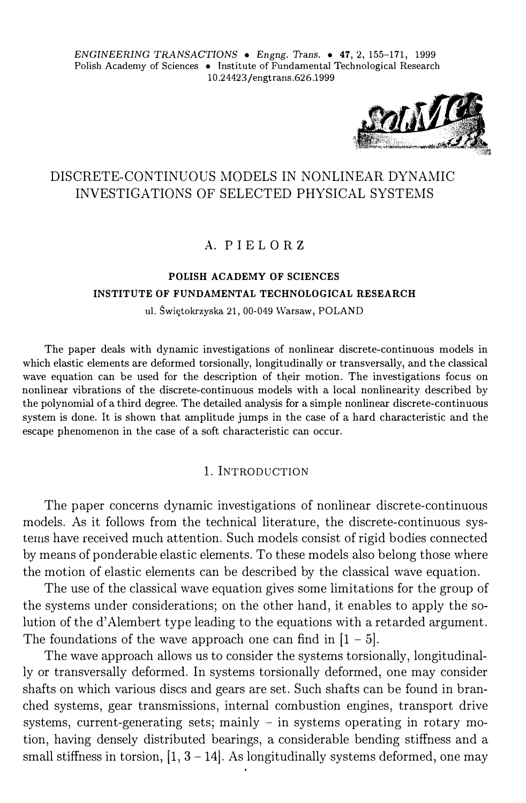

# DISCRETE-CONTINUOUS MODELS IN NONLINEAR DYNAMIC INVESTIGATIONS OF SELECTED PHYSICAL SYSTEMS

## A. PIEL OR Z

# **POLISH ACADEMY OF SCIENCES INSTITUTE OF FUNDAMENTAL TECHNOLOGICAL RESEARCH**

ul. Świętokrzyska 21, 00-049 Warsaw, POLAND

The paper deals with dynamie investigations of nonlinear discrete-continuous models in which elastic elements are deformed torsionally, longitudinally or transversally, and the classical wave equation can be used for the description of their motion. The investigations focus on nonlinear vibrations of the discrete-continuous models with a local nonlinearity described by the polynomial of a third degree. The detailed analysis for a sim ple nonlinear discrete-continuous system is done. It is shown that amplitude jumps in the case of a hard characteristic and the escape phenomenon in the case of a soft characteristic can occur.

## l. INTRODUCTION

The paper concerns dynamie investigations of nonlinear discrete-continuous models. As it follows from the technical literature, the discrete-continuous systems have received much attention. Such models consist of rigid bodies connected by means of ponderable elastic elements. To these models also belong those where the motion of elastic elements can be described by the classical wave equation.

The use of the classical wave equation gives some limitations for the group of the systems under considerations; on the other hand, it enables to apply the solution of the d' Alembert type leading to the equations with a retarded argument. The foundations of the wave approach one can find in  $[1 - 5]$ .

The wave approach allows us to consider the systems torsionally, longitudinally or transversally deformed. In systems torsionally deformed, one may consider shafts on which various discs and gears are set. Such shafts can be found in branched systems, gear transmissions, interna! combustion engines, transport drive systems, current-generating sets; mainly  $-$  in systems operating in rotary motion, having densely distributed bearings, a considerable bending stiffness and a small stiffness in torsion,  $[1, 3 - 14]$ . As longitudinally systems deformed, one may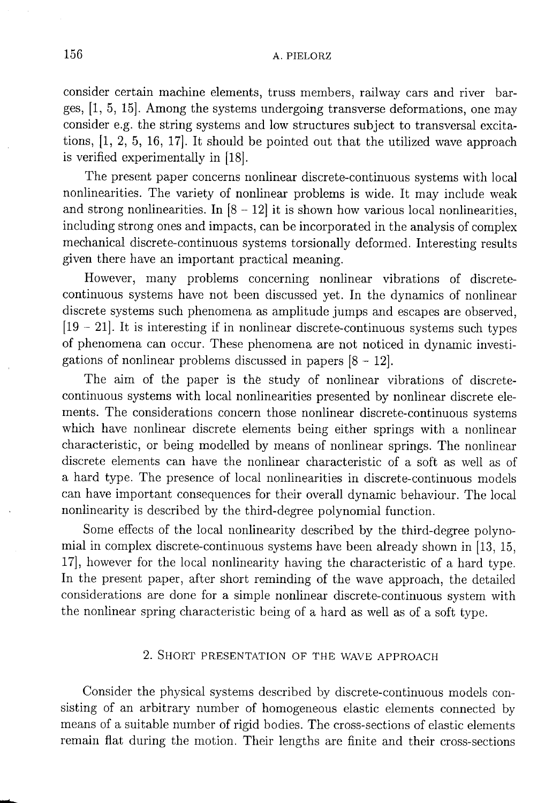consider certain machine elements, truss members, railway cars and river barges, [1, 5, 15]. Among the systems undergoing transverse deformations, one may consider e.g. the string systems and low structures subject to transversal excitations,  $[1, 2, 5, 16, 17]$ . It should be pointed out that the utilized wave approach is verified experimentally in [18].

The present paper concerns nonlinear discrete-continuous systems with local nonlinearities. The variety of nonlinear problems is wide. It may include weak and strong nonlinearities. In  $[8 - 12]$  it is shown how various local nonlinearities, including strong ones and impacts, can be incorporated in the analysis of complex mechanical discrete-continuous systems torsionally deformed. Interesting results given there have an important practical meaning.

However, many problems concerning nonlinear vibrations of discretecontinuous systems have not been discussed yet. In the dynamics of nonlinear discrete systems such phenomena as amplitude jumps and escapes are observed.  $[19 - 21]$ . It is interesting if in nonlinear discrete-continuous systems such types of phenomena can occur. These phenomena are not noticed in dynamic investigations of nonlinear problems discussed in papers  $[8 - 12]$ .

The aim of the paper is the study of nonlinear vibrations of discretecontinuous systems with local nonlinearities presented by nonlinear discrete elements. The considerations concern those nonlinear discrete-continuous systems which have nonlinear discrete elements being either springs with a nonlinear characteristic, or being modelled by means of nonlinear springs. The nonlinear discrete elements can have the nonlinear characteristic of a soft as well as of a hard type. The presence of local nonlinearities in discrete-continuous models can have important consequences for their overall dynamic behaviour. The local nonlinearity is described by the third-degree polynomial function.

Some effects of the local nonlinearity described by the third-degree polynomial in complex discrete-continuous systems have been already shown in [13, 15, 17], however for the local nonlinearity having the characteristic of a hard type. In the present paper, after short reminding of the wave approach, the detailed considerations are done for a simple nonlinear discrete-continuous system with the nonlinear spring characteristic being of a hard as well as of a soft type.

## 2. SHORT PRESENTATION OF THE WAVE APPROACH

Consider the physical systems described by discrete-continuous models consisting of an arbitrary number of homogeneous elastic elements connected by means of a suitable number of rigid bodies. The cross-sections of elastic elements remain flat during the motion. Their lengths are finite and their cross-sections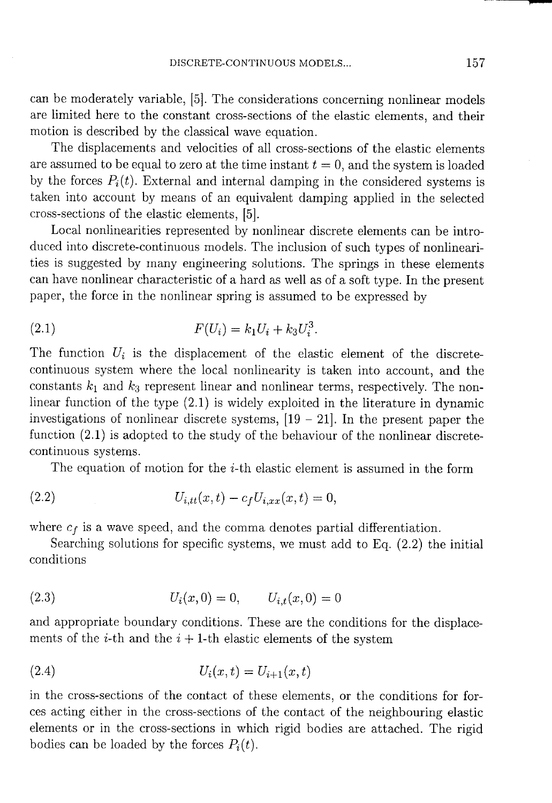can be moderately variable, [5]. The considerations concerning nonlinear models are limited here to the constant cross-sections of the elastic elements, and their motion is described by the classical wave equation.

The displacements and velocities of all cross-sections of the elastic elements are assumed to be equal to zero at the time instant  $t = 0$ , and the system is loaded by the forces  $P_i(t)$ . External and internal damping in the considered systems is taken into account by means of an equivalent damping applied in the selected cross-sections of the elastic elements, [5].

Local nonlinearities represented by nonlinear discrete elements can be introduced into discrete-continuous models. The inclusion of such types of nonlinearities is suggested by many engineering solutions. The springs in these elements can have nonlinear characteristic of a hard as well as of a soft type. In the present paper, the force in the nonlinear spring is assumed to be expressed by

(2.1) 
$$
F(U_i) = k_1 U_i + k_3 U_i^3
$$

The function  $U_i$  is the displacement of the elastic element of the discretecontinuous system where the local nonlinearity is taken into account, and the constants  $k_1$  and  $k_3$  represent linear and nonlinear terms, respectively. The nonlinear function of the type  $(2.1)$  is widely exploited in the literature in dynamic investigations of nonlinear discrete systems,  $[19 - 21]$ . In the present paper the function  $(2.1)$  is adopted to the study of the behaviour of the nonlinear discretecontinuous systems.

The equation of motion for the  $i$ -th elastic element is assumed in the form

(2.2) 
$$
U_{i,tt}(x,t) - c_f U_{i,xx}(x,t) = 0,
$$

where  $c_f$  is a wave speed, and the comma denotes partial differentiation.

Searching solutions for specific systems, we must add to Eq.  $(2.2)$  the initial conditions

(2.3) 
$$
U_i(x,0) = 0, \qquad U_{i,t}(x,0) = 0
$$

and appropriate boundary conditions. These are the conditions for the displacements of the *i*-th and the  $i + 1$ -th elastic elements of the system

(2.4) 
$$
U_i(x,t) = U_{i+1}(x,t)
$$

in the cross-sections of the contact of these elements, or the conditions for forces acting either in the cross-sections of the contact of the neighbouring elastic elements or in the cross-sections in which rigid bodies are attached. The rigid bodies can be loaded by the forces  $P_i(t)$ .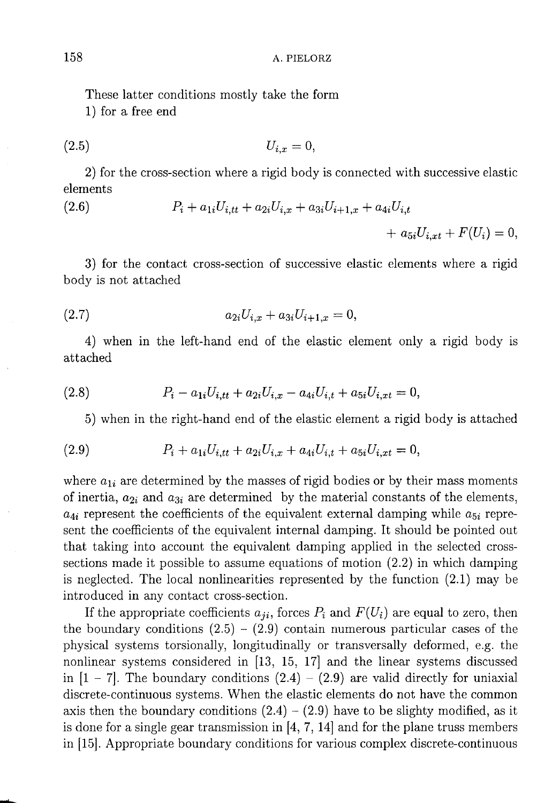These latter conditions mostly take the form

1) for a free end

$$
(2.5) \t\t\t U_{i,x} = 0,
$$

2) for the cross-section where a rigid body is connected with successive elastic elements

(2.6) 
$$
P_i + a_{1i}U_{i,tt} + a_{2i}U_{i,x} + a_{3i}U_{i+1,x} + a_{4i}U_{i,t} + a_{5i}U_{i,xt} + F(U_i) = 0,
$$

3) for the contact cross-section of successive elastic elements where a rigid body is not attached

$$
(2.7) \t\t\t a_{2i}U_{i,x} + a_{3i}U_{i+1,x} = 0
$$

4) when in the left-hand end of the elastic element only a rigid body is attached

(2.8) 
$$
P_i - a_{1i}U_{i,tt} + a_{2i}U_{i,x} - a_{4i}U_{i,t} + a_{5i}U_{i,xt} = 0,
$$

5) when in the right-hand end of the elastic element a rigid body is attached

(2.9) 
$$
P_i + a_{1i}U_{i,tt} + a_{2i}U_{i,x} + a_{4i}U_{i,t} + a_{5i}U_{i,xt} = 0,
$$

where  $a_{1i}$  are determined by the masses of rigid bodies or by their mass moments of inertia,  $a_{2i}$  and  $a_{3i}$  are determined by the material constants of the elements,  $a_{4i}$  represent the coefficients of the equivalent external damping while  $a_{5i}$  represent the coefficients of the equivalent internal damping. It should be pointed out that taking into account the equivalent damping applied in the selected crosssections made it possible to assume equations of motion  $(2.2)$  in which damping is neglected. The local nonlinearities represented by the function  $(2.1)$  may be introduced in any contact cross-section.

If the appropriate coefficients  $a_{ji}$ , forces  $P_i$  and  $F(U_i)$  are equal to zero, then the boundary conditions  $(2.5) - (2.9)$  contain numerous particular cases of the physical systems torsionally, longitudinally or transversally deformed, e.g. the nonlinear systems considered in [13, 15, 17] and the linear systems discussed in  $[1 - 7]$ . The boundary conditions  $(2.4) - (2.9)$  are valid directly for uniaxial discrete-continuous systems. When the elastic elements do not have the common axis then the boundary conditions  $(2.4) - (2.9)$  have to be slighty modified, as it is done for a single gear transmission in  $[4, 7, 14]$  and for the plane truss members in [15]. Appropriate boundary conditions for various complex discrete-continuous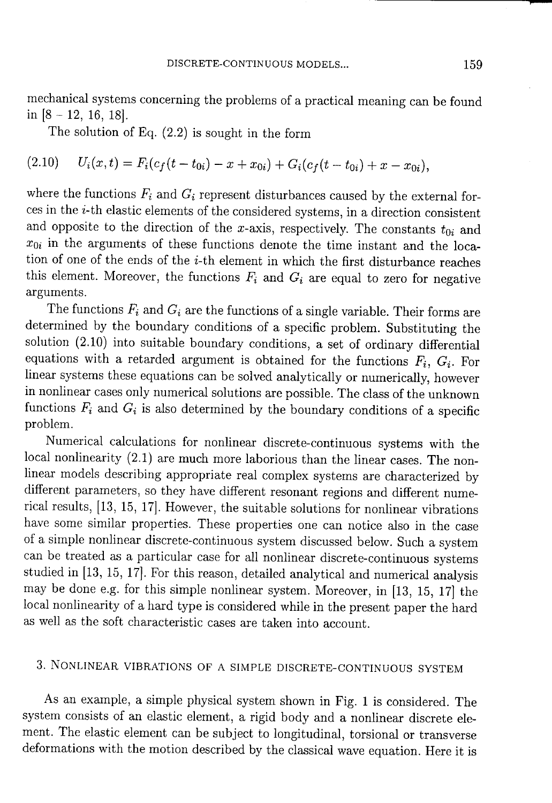mechanical systems concerning the problems of a practical meaning can be found in  $[8 - 12, 16, 18]$ .

The solution of Eq.  $(2.2)$  is sought in the form

$$
(2.10) \tUi(x,t) = Fi(cf(t-t0i) - x + x0i) + Gi(cf(t-t0i) + x - x0i),
$$

where the functions  $F_i$  and  $G_i$  represent disturbances caused by the external forces in the *i*-th elastic elements of the considered systems, in a direction consistent and opposite to the direction of the x-axis, respectively. The constants  $t_{0i}$  and  $x_{0i}$  in the arguments of these functions denote the time instant and the location of one of the ends of the *i*-th element in which the first disturbance reaches this element. Moreover, the functions  $F_i$  and  $G_i$  are equal to zero for negative arguments.

The functions  $F_i$  and  $G_i$  are the functions of a single variable. Their forms are determined by the boundary conditions of a specific problem. Substituting the solution (2.10) into suitable boundary conditions, a set of ordinary differential equations with a retarded argument is obtained for the functions  $F_i$ ,  $G_i$ . For linear systems these equations can be solved analytically or numerically, however in nonlinear cases only numerical solutions are possible. The class of the unknown functions  $F_i$  and  $G_i$  is also determined by the boundary conditions of a specific problem.

Numerical calculations for nonlinear discrete-continuous systems with the local nonlinearity (2.1) are much more laborious than the linear cases. The nonlinear models describing appropriate real complex systems are characterized by different parameters, so they have different resonant regions and different numerical results, [13, 15, 17]. However, the suitable solutions for nonlinear vibrations have some similar properties. These properties one can notice also in the case of a simple nonlinear discrete-continuous system discussed below. Such a system can be treated as a particular case for all nonlinear discrete-continuous systems studied in [13, 15, 17]. For this reason, detailed analytical and numerical analysis may be done e.g. for this simple nonlinear system. Moreover, in [13, 15, 17] the local nonlinearity of a hard type is considered while in the present paper the hard as well as the soft characteristic cases are taken into account.

# 3. NONLINEAR VIBRATIONS OF A SIMPLE DISCRETE-CONTINUOUS SYSTEM

As an example, a simple physical system shown in Fig. 1 is considered. The system consists of an elastic element, a rigid body and a nonlinear discrete element. The elastic element can be subject to longitudinal, torsional or transverse deformations with the motion described by the classical wave equation. Here it is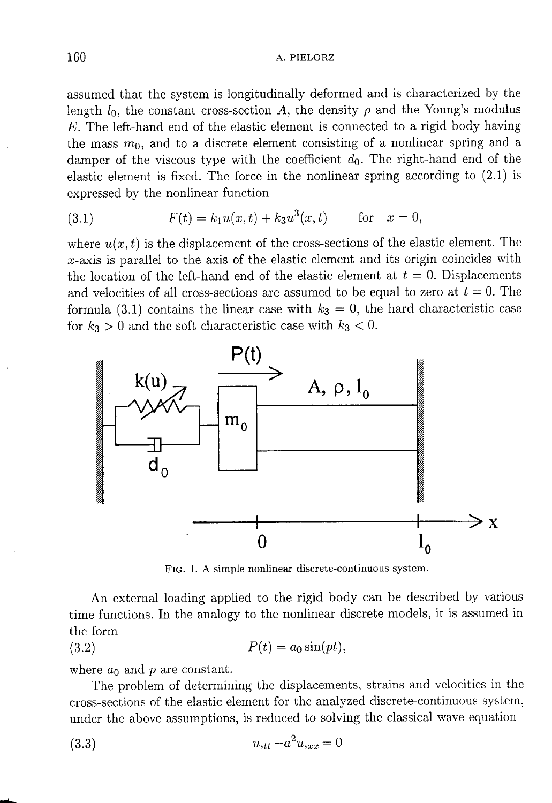assumed that the system is longitudinally deformed and is characterized by the length  $l_0$ , the constant cross-section A, the density  $\rho$  and the Young's modulus  $E$ . The left-hand end of the elastic element is connected to a rigid body having the mass  $m_0$ , and to a discrete element consisting of a nonlinear spring and a damper of the viscous type with the coefficient  $d_0$ . The right-hand end of the elastic element is fixed. The force in the nonlinear spring according to  $(2.1)$  is expressed by the nonlinear function

(3.1) 
$$
F(t) = k_1 u(x, t) + k_3 u^3(x, t) \quad \text{for} \quad x = 0,
$$

where  $u(x, t)$  is the displacement of the cross-sections of the elastic element. The  $x$ -axis is parallel to the axis of the elastic element and its origin coincides with the location of the left-hand end of the elastic element at  $t = 0$ . Displacements and velocities of all cross-sections are assumed to be equal to zero at  $t = 0$ . The formula (3.1) contains the linear case with  $k_3 = 0$ , the hard characteristic case for  $k_3 > 0$  and the soft characteristic case with  $k_3 < 0$ .



FIG. 1. A simple nonlinear discrete-continuous system.

An external loading applied to the rigid body can be described by various time functions. In the analogy to the nonlinear discrete models, it is assumed in the form

$$
(3.2) \t\t\t P(t) = a_0 \sin(pt),
$$

where  $a_0$  and p are constant.

The problem of determining the displacements, strains and velocities in the cross-sections of the elastic element for the analyzed discrete-continuous system, under the above assumptions, is reduced to solving the classical wave equation

$$
(3.3) \t\t u_{,tt} - a^2 u_{,xx} = 0
$$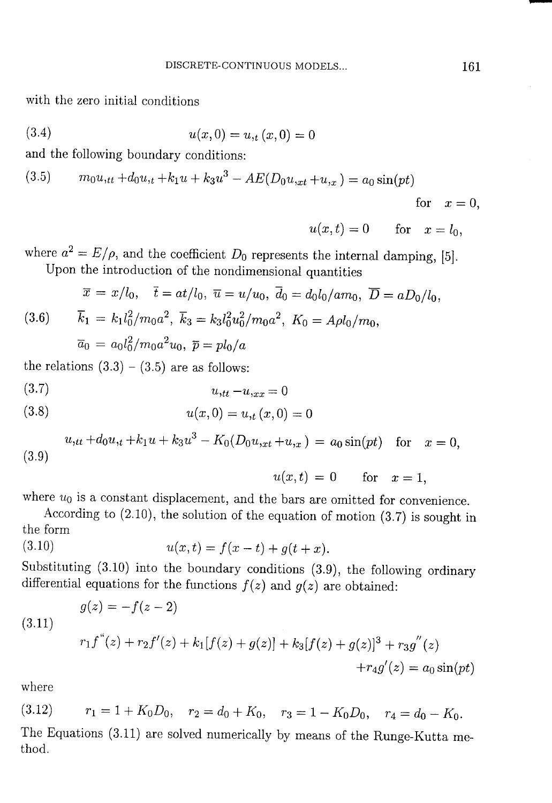with the zero initial conditions

$$
(3.4) \t\t u(x,0) = u, \t(x,0) = 0
$$

and the following boundary conditions:

(3.5) 
$$
m_0u_{,tt} + d_0u_{,t} + k_1u + k_3u^3 - AE(D_0u_{,xt} + u_{,x}) = a_0\sin(pt)
$$

$$
\quad \text{for} \quad x = 0,
$$

 $u(x,t) = 0$  for  $x = l_0$ ,

where  $a^2 = E/\rho$ , and the coefficient  $D_0$  represents the internal damping, [5]. Upon the introduction of the nondimensional quantities

(3.6) 
$$
\bar{x} = x/l_0
$$
,  $\bar{t} = at/l_0$ ,  $\bar{u} = u/u_0$ ,  $\bar{d}_0 = d_0l_0/am_0$ ,  $\overline{D} = aD_0/l_0$ ,  
\n(3.6)  $\overline{k}_1 = k_1l_0^2/m_0a^2$ ,  $\overline{k}_3 = k_3l_0^2u_0^2/m_0a^2$ ,  $K_0 = A\rho l_0/m_0$ ,  
\n $\overline{a}_0 = a_0l_0^2/m_0a^2u_0$ ,  $\overline{p} = p l_0/a$ 

the relations  $(3.3) - (3.5)$  are as follows:

$$
(3.7) \t\t\t u,tt - u,xx = 0
$$

(3.8) 
$$
u(x,0) = u_{,t}(x,0) = 0
$$

(3.9) 
$$
u_{,tt} + d_0 u_{,t} + k_1 u + k_3 u^3 - K_0 (D_0 u_{,xt} + u_{,x}) = a_0 \sin(pt) \text{ for } x = 0,
$$

$$
u(x,t) = 0 \qquad \text{for} \quad x = 1,
$$

where  $u_0$  is a constant displacement, and the bars are omitted for convenience.

According to  $(2.10)$ , the solution of the equation of motion  $(3.7)$  is sought in the form  $(3.10)$ 

$$
u(x,t) = f(x-t) + g(t+x).
$$

Substituting  $(3.10)$  into the boundary conditions  $(3.9)$ , the following ordinary differential equations for the functions  $f(z)$  and  $g(z)$  are obtained:

(3.11)  
\n
$$
g(z) = -f(z - 2)
$$
\n
$$
r_1 f''(z) + r_2 f'(z) + k_1[f(z) + g(z)] + k_3[f(z) + g(z)]^3 + r_3 g''(z) + r_4 g'(z) = a_0 \sin(pt)
$$

where

 $r_1 = 1 + K_0 D_0$ ,  $r_2 = d_0 + K_0$ ,  $r_3 = 1 - K_0 D_0$ ,  $r_4 = d_0 - K_0$ .  $(3.12)$ The Equations (3.11) are solved numerically by means of the Runge-Kutta method.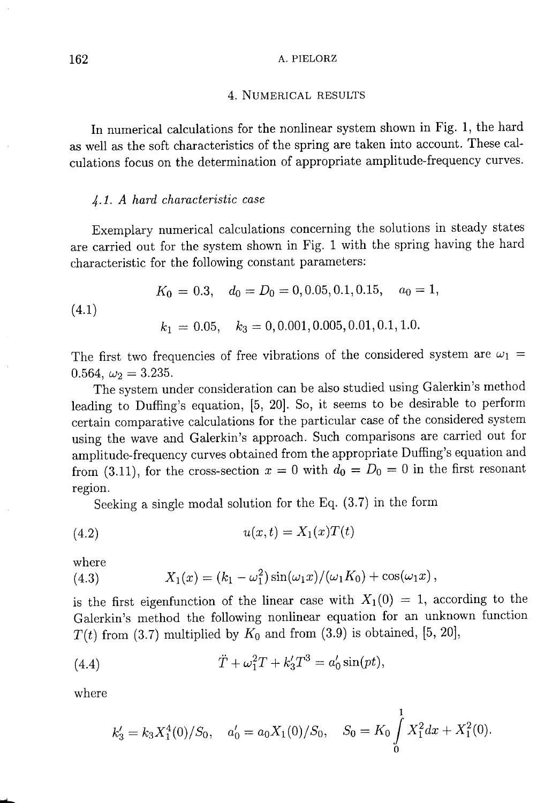#### A. PIELORZ

### 4. NUMERICAL RESULTS

In numerical calculations for the nonlinear system shown in Fig. 1, the hard as well as the soft characteristics of the spring are taken into account. These calculations focus on the determination of appropriate amplitude-frequency curves.

### 4.1. A hard characteristic case

Exemplary numerical calculations concerning the solutions in steady states are carried out for the system shown in Fig. 1 with the spring having the hard characteristic for the following constant parameters:

(4.1) 
$$
K_0 = 0.3, \quad d_0 = D_0 = 0, 0.05, 0.1, 0.15, \quad a_0 = 1,
$$
  
 $k_1 = 0.05, \quad k_3 = 0, 0.001, 0.005, 0.01, 0.1, 1.0.$ 

The first two frequencies of free vibrations of the considered system are  $\omega_1$  = 0.564,  $\omega_2 = 3.235$ .

The system under consideration can be also studied using Galerkin's method leading to Duffing's equation, [5, 20]. So, it seems to be desirable to perform certain comparative calculations for the particular case of the considered system using the wave and Galerkin's approach. Such comparisons are carried out for amplitude-frequency curves obtained from the appropriate Duffing's equation and from (3.11), for the cross-section  $x = 0$  with  $d_0 = D_0 = 0$  in the first resonant region.

Seeking a single modal solution for the Eq.  $(3.7)$  in the form

$$
(4.2) \qquad \qquad u(x,t) = X_1(x)T(t)
$$

where

(4.3) 
$$
X_1(x) = (k_1 - \omega_1^2) \sin(\omega_1 x) / (\omega_1 K_0) + \cos(\omega_1 x),
$$

is the first eigenfunction of the linear case with  $X_1(0) = 1$ , according to the Galerkin's method the following nonlinear equation for an unknown function  $T(t)$  from (3.7) multiplied by  $K_0$  and from (3.9) is obtained, [5, 20],

(4.4) 
$$
\ddot{T} + \omega_1^2 T + k_3' T^3 = a_0' \sin(pt),
$$

where

$$
k'_3 = k_3 X_1^4(0)/S_0
$$
,  $a'_0 = a_0 X_1(0)/S_0$ ,  $S_0 = K_0 \int_0^1 X_1^2 dx + X_1^2(0)$ .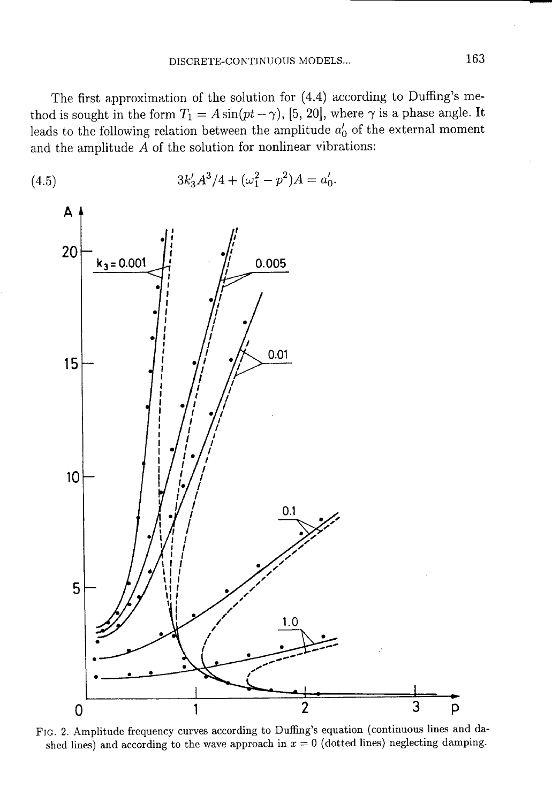The first approximation of the solution for  $(4.4)$  according to Duffing's method is sought in the form  $T_1 = A \sin(pt - \gamma)$ , [5, 20], where  $\gamma$  is a phase angle. It leads to the following relation between the amplitude  $a'_0$  of the external moment and the amplitude  $A$  of the solution for nonlinear vibrations:



FIG. 2. Amplitude frequency curves according to Duffing's equation (continuous lines and dashed lines) and according to the wave approach in  $x = 0$  (dotted lines) neglecting damping.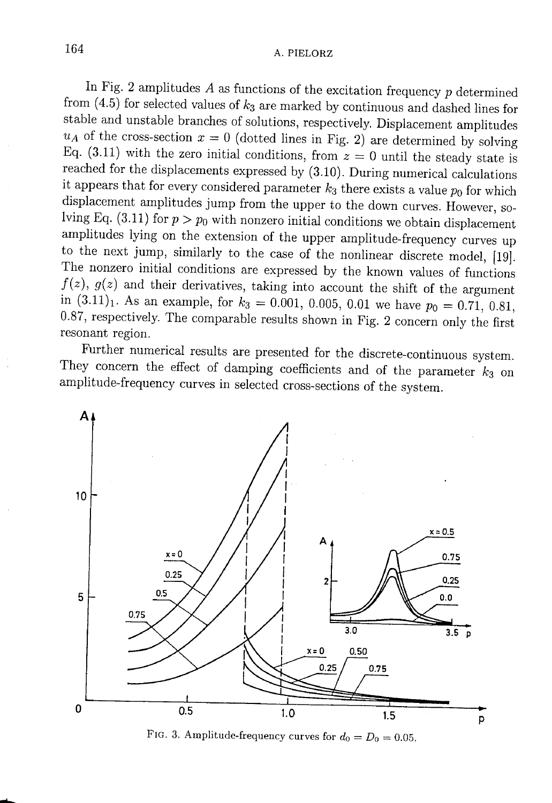In Fig. 2 amplitudes  $A$  as functions of the excitation frequency  $p$  determined from  $(4.5)$  for selected values of  $k_3$  are marked by continuous and dashed lines for stable and unstable branches of solutions, respectively. Displacement amplitudes  $u_A$  of the cross-section  $x = 0$  (dotted lines in Fig. 2) are determined by solving Eq. (3.11) with the zero initial conditions, from  $z=0$  until the steady state is reached for the displacements expressed by (3.10). During numerical calculations it appears that for every considered parameter  $k_3$  there exists a value  $p_0$  for which displacement amplitudes jump from the upper to the down curves. However, solving Eq. (3.11) for  $p > p_0$  with nonzero initial conditions we obtain displacement amplitudes lying on the extension of the upper amplitude-frequency curves up to the next jump, similarly to the case of the nonlinear discrete model, [19]. The nonzero initial conditions are expressed by the known values of functions  $f(z)$ ,  $g(z)$  and their derivatives, taking into account the shift of the argument in  $(3.11)_1$ . As an example, for  $k_3 = 0.001$ , 0.005, 0.01 we have  $p_0 = 0.71$ , 0.81, 0.87, respectively. The comparable results shown in Fig. 2 concern only the first resonant region.

Further numerical results are presented for the discrete-continuous system. They concern the effect of damping coefficients and of the parameter  $k_3$  on amplitude-frequency curves in selected cross-sections of the system.



FIG. 3. Amplitude-frequency curves for  $d_0 = D_0 = 0.05$ .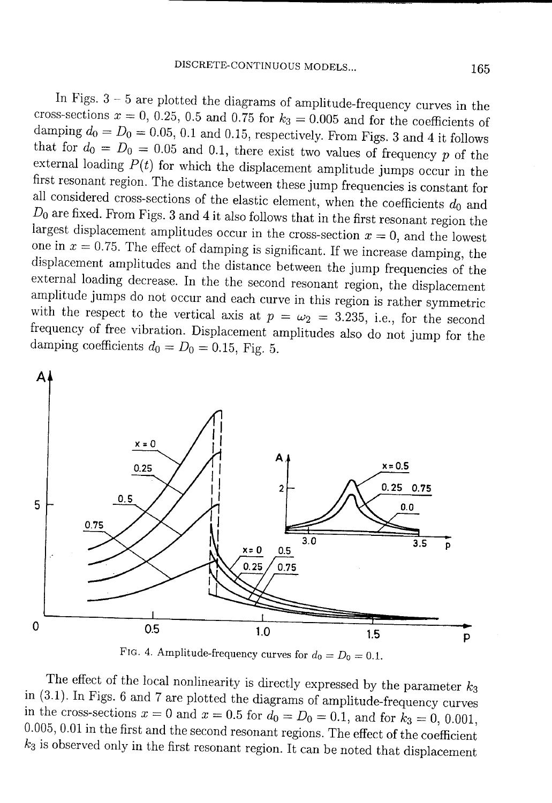In Figs.  $3-5$  are plotted the diagrams of amplitude-frequency curves in the cross-sections  $x = 0, 0.25, 0.5$  and 0.75 for  $k_3 = 0.005$  and for the coefficients of damping  $d_0 = D_0 = 0.05$ , 0.1 and 0.15, respectively. From Figs. 3 and 4 it follows that for  $d_0 = D_0 = 0.05$  and 0.1, there exist two values of frequency p of the external loading  $P(t)$  for which the displacement amplitude jumps occur in the first resonant region. The distance between these jump frequencies is constant for all considered cross-sections of the elastic element, when the coefficients  $d_0$  and  $D_0$  are fixed. From Figs. 3 and 4 it also follows that in the first resonant region the largest displacement amplitudes occur in the cross-section  $x = 0$ , and the lowest one in  $x = 0.75$ . The effect of damping is significant. If we increase damping, the displacement amplitudes and the distance between the jump frequencies of the external loading decrease. In the the second resonant region, the displacement amplitude jumps do not occur and each curve in this region is rather symmetric with the respect to the vertical axis at  $p = \omega_2 = 3.235$ , i.e., for the second frequency of free vibration. Displacement amplitudes also do not jump for the damping coefficients  $d_0 = D_0 = 0.15$ , Fig. 5.



FIG. 4. Amplitude-frequency curves for  $d_0 = D_0 = 0.1$ .

The effect of the local nonlinearity is directly expressed by the parameter  $k_3$ in  $(3.1)$ . In Figs. 6 and 7 are plotted the diagrams of amplitude-frequency curves in the cross-sections  $x = 0$  and  $x = 0.5$  for  $d_0 = D_0 = 0.1$ , and for  $k_3 = 0, 0.001$ ,  $0.005, 0.01$  in the first and the second resonant regions. The effect of the coefficient  $k_3$  is observed only in the first resonant region. It can be noted that displacement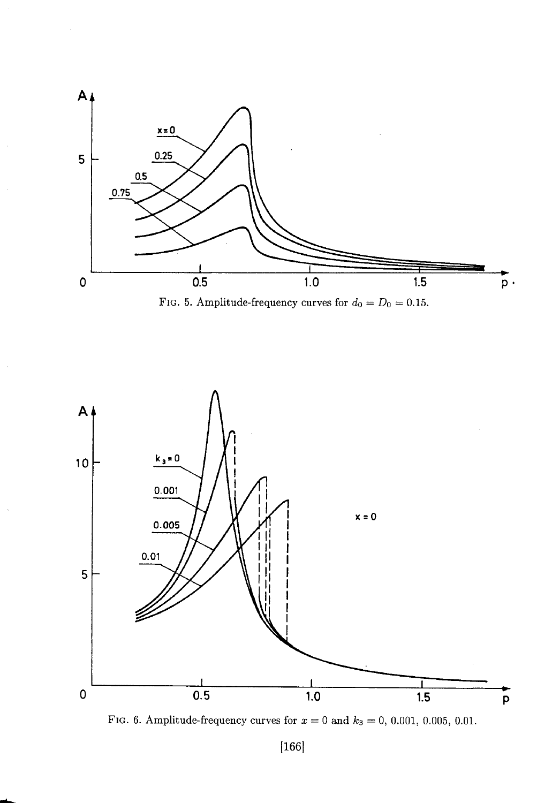

FIG. 5. Amplitude-frequency curves for  $d_0 = D_0 = 0.15$ .



FIG. 6. Amplitude-frequency curves for  $x = 0$  and  $k_3 = 0$ , 0.001, 0.005, 0.01.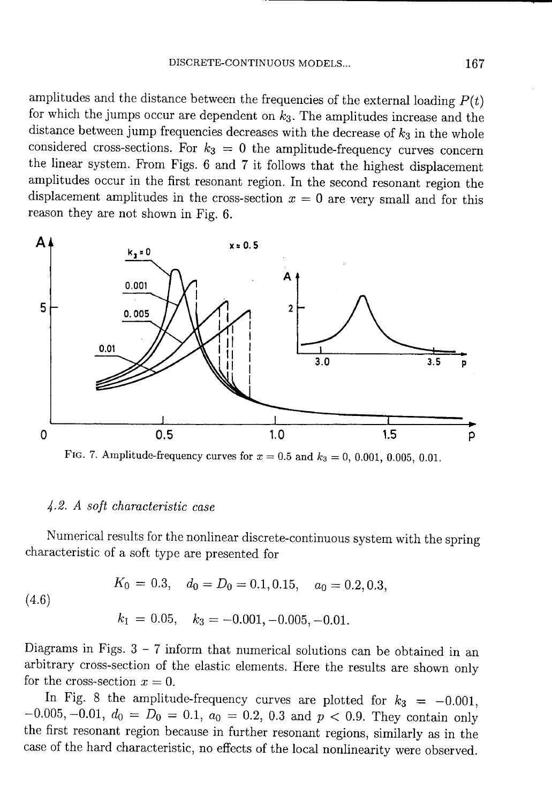amplitudes and the distance between the frequencies of the external loading  $P(t)$ for which the jumps occur are dependent on  $k_3$ . The amplitudes increase and the distance between jump frequencies decreases with the decrease of  $k_3$  in the whole considered cross-sections. For  $k_3 = 0$  the amplitude-frequency curves concern the linear system. From Figs. 6 and 7 it follows that the highest displacement amplitudes occur in the first resonant region. In the second resonant region the displacement amplitudes in the cross-section  $x = 0$  are very small and for this reason they are not shown in Fig. 6.



FIG. 7. Amplitude-frequency curves for  $x = 0.5$  and  $k_3 = 0, 0.001, 0.005, 0.01$ .

### 4.2. A soft characteristic case

Numerical results for the nonlinear discrete-continuous system with the spring characteristic of a soft type are presented for

$$
K_0 = 0.3
$$
,  $d_0 = D_0 = 0.1, 0.15$ ,  $a_0 = 0.2, 0.3$ ,

 $(4.6)$ 

$$
k_1 = 0.05
$$
,  $k_3 = -0.001, -0.005, -0.01$ .

Diagrams in Figs.  $3 - 7$  inform that numerical solutions can be obtained in an arbitrary cross-section of the elastic elements. Here the results are shown only for the cross-section  $x=0$ .

In Fig. 8 the amplitude-frequency curves are plotted for  $k_3 = -0.001$ ,  $-0.005, -0.01, d_0 = D_0 = 0.1, a_0 = 0.2, 0.3$  and  $p < 0.9$ . They contain only the first resonant region because in further resonant regions, similarly as in the case of the hard characteristic, no effects of the local nonlinearity were observed.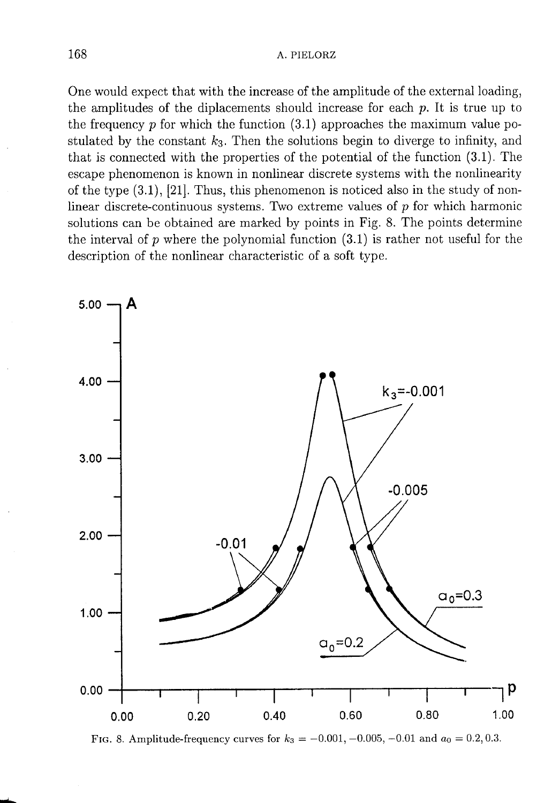One would expect that with the increase of the amplitude of the external loading, the amplitudes of the diplacements should increase for each  $p$ . It is true up to the frequency  $p$  for which the function  $(3.1)$  approaches the maximum value postulated by the constant  $k_3$ . Then the solutions begin to diverge to infinity, and that is connected with the properties of the potential of the function  $(3.1)$ . The escape phenomenon is known in nonlinear discrete systems with the nonlinearity of the type  $(3.1)$ ,  $[21]$ . Thus, this phenomenon is noticed also in the study of nonlinear discrete-continuous systems. Two extreme values of  $p$  for which harmonic solutions can be obtained are marked by points in Fig. 8. The points determine the interval of p where the polynomial function  $(3.1)$  is rather not useful for the description of the nonlinear characteristic of a soft type.



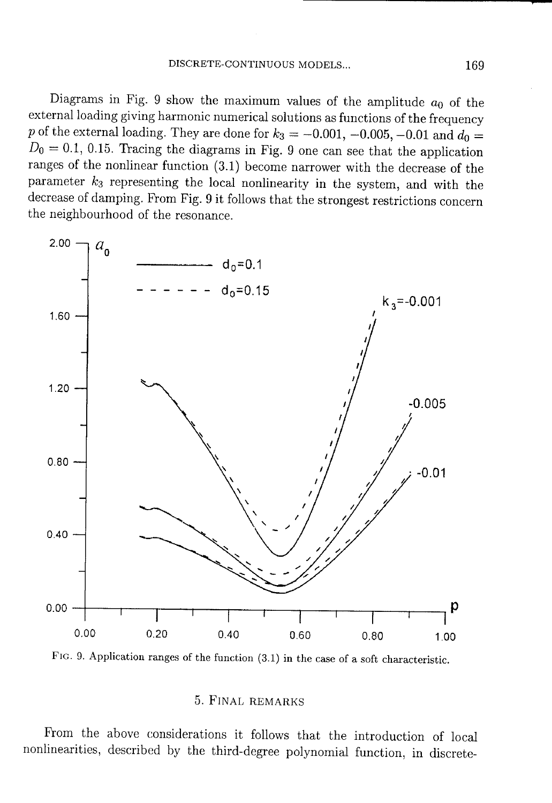Diagrams in Fig. 9 show the maximum values of the amplitude  $a_0$  of the external loading giving harmonic numerical solutions as functions of the frequency p of the external loading. They are done for  $k_3 = -0.001$ ,  $-0.005$ ,  $-0.01$  and  $d_0 =$  $D_0 = 0.1, 0.15$ . Tracing the diagrams in Fig. 9 one can see that the application ranges of the nonlinear function (3.1) become narrower with the decrease of the parameter  $k_3$  representing the local nonlinearity in the system, and with the decrease of damping. From Fig. 9 it follows that the strongest restrictions concern the neighbourhood of the resonance.



FIG. 9. Application ranges of the function (3.1) in the case of a soft characteristic.

## 5. FINAL REMARKS

From the above considerations it follows that the introduction of local nonlinearities, described by the third-degree polynomial function, in discrete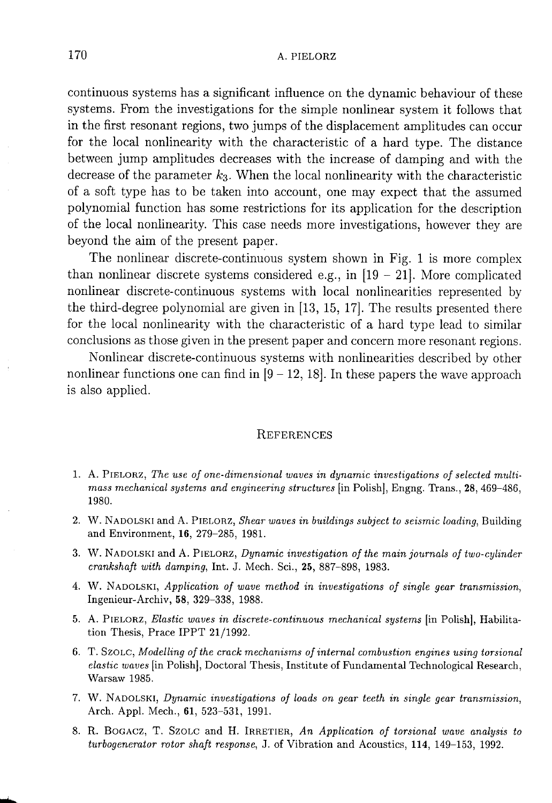continuous systems has a significant influence on the dynamic behaviour of these systems. From the investigations for the simple nonlinear system it follows that in the first resonant regions, two jumps of the displacement amplitudes can occur for the local nonlinearity with the characteristic of a hard type. The distance between jump amplitudes decreases with the increase of damping and with the decrease of the parameter  $k_3$ . When the local nonlinearity with the characteristic of a soft type has to be taken into account, one may expect that the assumed polynomial function has some restrictions for its application for the description of the local nonlinearity. This case needs more investigations, however they are beyond the aim of the present paper.

The nonlinear discrete-continuous system shown in Fig. 1 is more complex than nonlinear discrete systems considered e.g., in  $[19 - 21]$ . More complicated nonlinear discrete-continuous systems with local nonlinearities represented by the third-degree polynomial are given in  $[13, 15, 17]$ . The results presented there for the local nonlinearity with the characteristic of a hard type lead to similar conclusions as those given in the present paper and concern more resonant regions.

Nonlinear discrete-continuous systems with nonlinearities described by other nonlinear functions one can find in  $[9 - 12, 18]$ . In these papers the wave approach is also applied.

## **REFERENCES**

- 1. A. PIELORZ, The use of one-dimensional waves in dynamic investigations of selected multimass mechanical systems and engineering structures [in Polish], Engng. Trans., 28, 469-486, 1980.
- 2. W. NADOLSKI and A. PIELORZ, Shear waves in buildings subject to seismic loading, Building and Environment, 16, 279-285, 1981.
- 3. W. NADOLSKI and A. PIELORZ, Dynamic investigation of the main journals of two-cylinder crankshaft with damping, Int. J. Mech. Sci., 25, 887-898, 1983.
- 4. W. NADOLSKI, Application of wave method in investigations of single gear transmission, Ingenieur-Archiv, 58, 329-338, 1988.
- 5. A. PIELORZ, Elastic waves in discrete-continuous mechanical systems [in Polish], Habilitation Thesis, Prace IPPT 21/1992.
- 6. T. SzOLC, Modelling of the crack mechanisms of internal combustion engines using torsional elastic waves [in Polish], Doctoral Thesis, Institute of Fundamental Technological Research, Warsaw 1985.
- 7. W. NADOLSKI, Dynamic investigations of loads on gear teeth in single gear transmission, Arch. Appl. Mech., 61, 523-531, 1991.
- 8. R. BOGACZ, T. SZOLC and H. IRRETIER, An Application of torsional wave analysis to turbogenerator rotor shaft response, J. of Vibration and Acoustics, 114, 149-153, 1992.